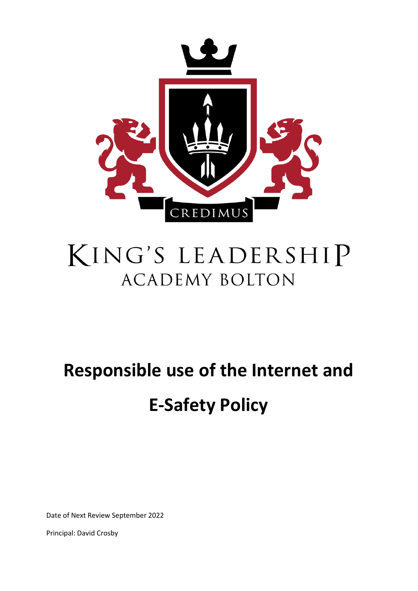

## KING'S LEADERSHIP **ACADEMY BOLTON**

# **Responsible use of the Internet and E-Safety Policy**

Date of Next Review September 2022

Principal: David Crosby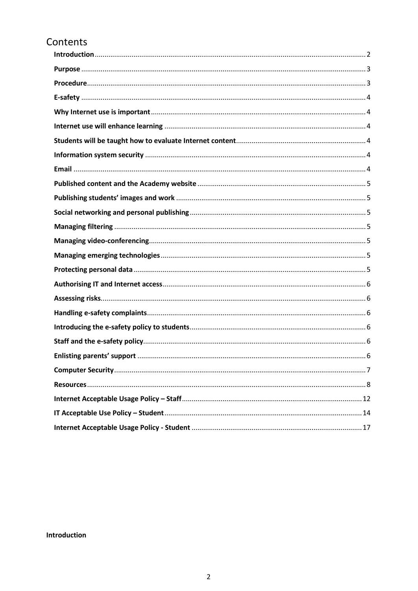## Contents

<span id="page-1-0"></span>Introduction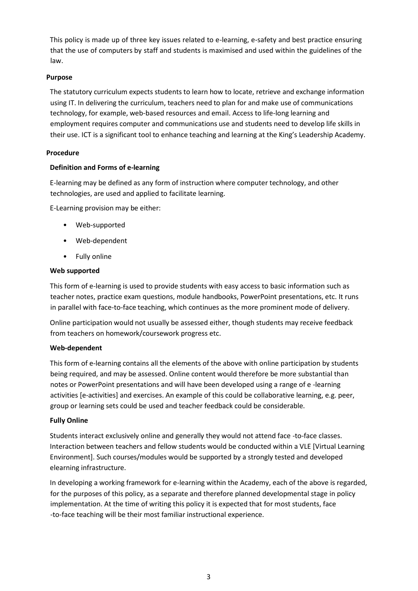This policy is made up of three key issues related to e-learning, e-safety and best practice ensuring that the use of computers by staff and students is maximised and used within the guidelines of the law.

#### <span id="page-2-0"></span>**Purpose**

The statutory curriculum expects students to learn how to locate, retrieve and exchange information using IT. In delivering the curriculum, teachers need to plan for and make use of communications technology, for example, web-based resources and email. Access to life-long learning and employment requires computer and communications use and students need to develop life skills in their use. ICT is a significant tool to enhance teaching and learning at the King's Leadership Academy.

#### <span id="page-2-1"></span>**Procedure**

#### **Definition and Forms of e-learning**

E-learning may be defined as any form of instruction where computer technology, and other technologies, are used and applied to facilitate learning.

E-Learning provision may be either:

- Web-supported
- Web-dependent
- Fully online

#### **Web supported**

This form of e-learning is used to provide students with easy access to basic information such as teacher notes, practice exam questions, module handbooks, PowerPoint presentations, etc. It runs in parallel with face-to-face teaching, which continues as the more prominent mode of delivery.

Online participation would not usually be assessed either, though students may receive feedback from teachers on homework/coursework progress etc.

#### **Web-dependent**

This form of e-learning contains all the elements of the above with online participation by students being required, and may be assessed. Online content would therefore be more substantial than notes or PowerPoint presentations and will have been developed using a range of e -learning activities [e-activities] and exercises. An example of this could be collaborative learning, e.g. peer, group or learning sets could be used and teacher feedback could be considerable.

#### **Fully Online**

Students interact exclusively online and generally they would not attend face -to-face classes. Interaction between teachers and fellow students would be conducted within a VLE [Virtual Learning Environment]. Such courses/modules would be supported by a strongly tested and developed elearning infrastructure.

In developing a working framework for e-learning within the Academy, each of the above is regarded, for the purposes of this policy, as a separate and therefore planned developmental stage in policy implementation. At the time of writing this policy it is expected that for most students, face -to-face teaching will be their most familiar instructional experience.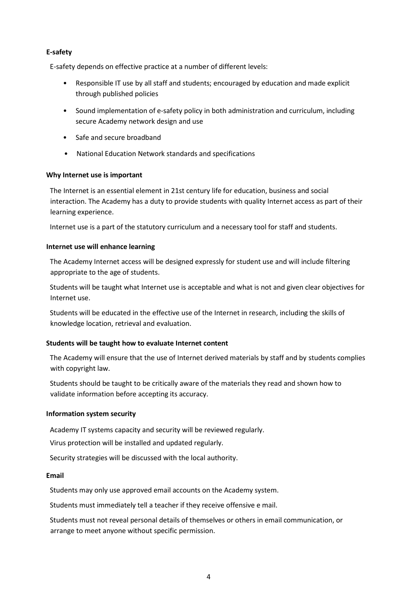#### <span id="page-3-0"></span>**E-safety**

E-safety depends on effective practice at a number of different levels:

- Responsible IT use by all staff and students; encouraged by education and made explicit through published policies
- Sound implementation of e-safety policy in both administration and curriculum, including secure Academy network design and use
- Safe and secure broadband
- National Education Network standards and specifications

#### <span id="page-3-1"></span>**Why Internet use is important**

The Internet is an essential element in 21st century life for education, business and social interaction. The Academy has a duty to provide students with quality Internet access as part of their learning experience.

Internet use is a part of the statutory curriculum and a necessary tool for staff and students.

#### <span id="page-3-2"></span>**Internet use will enhance learning**

The Academy Internet access will be designed expressly for student use and will include filtering appropriate to the age of students.

Students will be taught what Internet use is acceptable and what is not and given clear objectives for Internet use.

Students will be educated in the effective use of the Internet in research, including the skills of knowledge location, retrieval and evaluation.

#### <span id="page-3-3"></span>**Students will be taught how to evaluate Internet content**

The Academy will ensure that the use of Internet derived materials by staff and by students complies with copyright law.

Students should be taught to be critically aware of the materials they read and shown how to validate information before accepting its accuracy.

#### <span id="page-3-4"></span>**Information system security**

Academy IT systems capacity and security will be reviewed regularly.

Virus protection will be installed and updated regularly.

Security strategies will be discussed with the local authority.

#### <span id="page-3-5"></span>**Email**

Students may only use approved email accounts on the Academy system.

Students must immediately tell a teacher if they receive offensive e mail.

Students must not reveal personal details of themselves or others in email communication, or arrange to meet anyone without specific permission.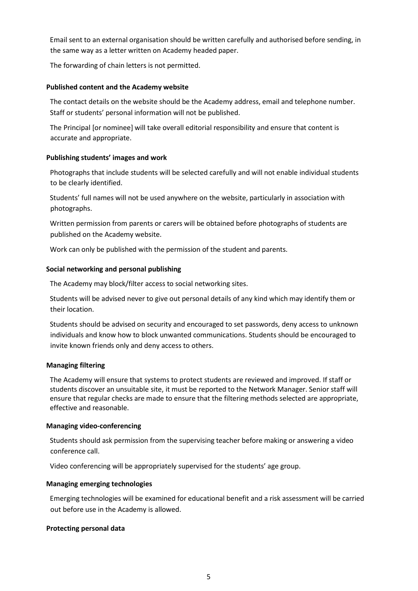Email sent to an external organisation should be written carefully and authorised before sending, in the same way as a letter written on Academy headed paper.

<span id="page-4-0"></span>The forwarding of chain letters is not permitted.

#### **Published content and the Academy website**

The contact details on the website should be the Academy address, email and telephone number. Staff or students' personal information will not be published.

The Principal [or nominee] will take overall editorial responsibility and ensure that content is accurate and appropriate.

#### <span id="page-4-1"></span>**Publishing students' images and work**

Photographs that include students will be selected carefully and will not enable individual students to be clearly identified.

Students' full names will not be used anywhere on the website, particularly in association with photographs.

Written permission from parents or carers will be obtained before photographs of students are published on the Academy website.

Work can only be published with the permission of the student and parents.

#### <span id="page-4-2"></span>**Social networking and personal publishing**

The Academy may block/filter access to social networking sites.

Students will be advised never to give out personal details of any kind which may identify them or their location.

Students should be advised on security and encouraged to set passwords, deny access to unknown individuals and know how to block unwanted communications. Students should be encouraged to invite known friends only and deny access to others.

#### <span id="page-4-3"></span>**Managing filtering**

The Academy will ensure that systems to protect students are reviewed and improved. If staff or students discover an unsuitable site, it must be reported to the Network Manager. Senior staff will ensure that regular checks are made to ensure that the filtering methods selected are appropriate, effective and reasonable.

#### <span id="page-4-4"></span>**Managing video-conferencing**

Students should ask permission from the supervising teacher before making or answering a video conference call.

Video conferencing will be appropriately supervised for the students' age group.

#### <span id="page-4-5"></span>**Managing emerging technologies**

Emerging technologies will be examined for educational benefit and a risk assessment will be carried out before use in the Academy is allowed.

#### <span id="page-4-6"></span>**Protecting personal data**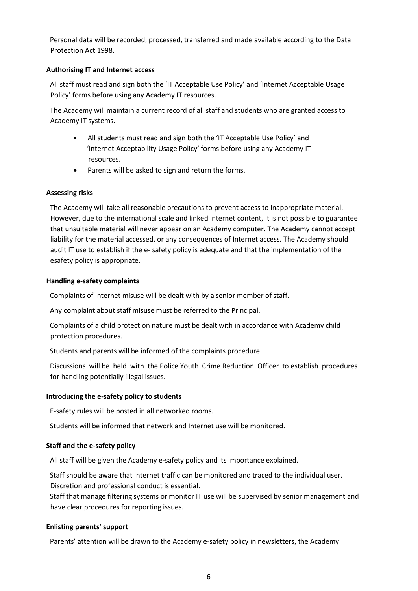Personal data will be recorded, processed, transferred and made available according to the Data Protection Act 1998.

#### <span id="page-5-0"></span>**Authorising IT and Internet access**

All staff must read and sign both the 'IT Acceptable Use Policy' and 'Internet Acceptable Usage Policy' forms before using any Academy IT resources.

The Academy will maintain a current record of all staff and students who are granted access to Academy IT systems.

- All students must read and sign both the 'IT Acceptable Use Policy' and 'Internet Acceptability Usage Policy' forms before using any Academy IT resources.
- Parents will be asked to sign and return the forms.

#### <span id="page-5-1"></span>**Assessing risks**

The Academy will take all reasonable precautions to prevent access to inappropriate material. However, due to the international scale and linked Internet content, it is not possible to guarantee that unsuitable material will never appear on an Academy computer. The Academy cannot accept liability for the material accessed, or any consequences of Internet access. The Academy should audit IT use to establish if the e- safety policy is adequate and that the implementation of the esafety policy is appropriate.

#### <span id="page-5-2"></span>**Handling e-safety complaints**

Complaints of Internet misuse will be dealt with by a senior member of staff.

Any complaint about staff misuse must be referred to the Principal.

Complaints of a child protection nature must be dealt with in accordance with Academy child protection procedures.

Students and parents will be informed of the complaints procedure.

Discussions will be held with the Police Youth Crime Reduction Officer to establish procedures for handling potentially illegal issues.

#### <span id="page-5-3"></span>**Introducing the e-safety policy to students**

E-safety rules will be posted in all networked rooms.

Students will be informed that network and Internet use will be monitored.

#### <span id="page-5-4"></span>**Staff and the e-safety policy**

All staff will be given the Academy e-safety policy and its importance explained.

Staff should be aware that Internet traffic can be monitored and traced to the individual user. Discretion and professional conduct is essential.

Staff that manage filtering systems or monitor IT use will be supervised by senior management and have clear procedures for reporting issues.

#### <span id="page-5-5"></span>**Enlisting parents' support**

Parents' attention will be drawn to the Academy e-safety policy in newsletters, the Academy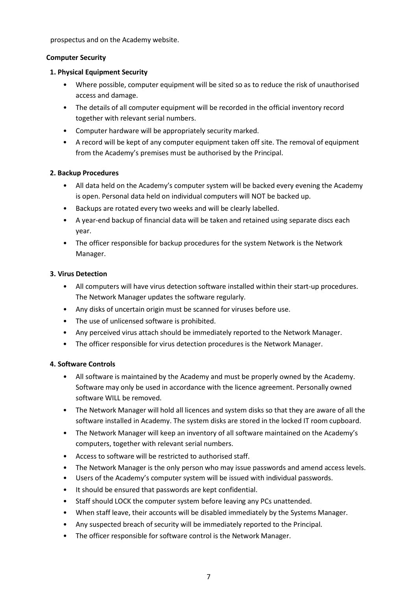prospectus and on the Academy website.

#### <span id="page-6-0"></span>**Computer Security**

#### **1. Physical Equipment Security**

- Where possible, computer equipment will be sited so as to reduce the risk of unauthorised access and damage.
- The details of all computer equipment will be recorded in the official inventory record together with relevant serial numbers.
- Computer hardware will be appropriately security marked.
- A record will be kept of any computer equipment taken off site. The removal of equipment from the Academy's premises must be authorised by the Principal.

#### **2. Backup Procedures**

- All data held on the Academy's computer system will be backed every evening the Academy is open. Personal data held on individual computers will NOT be backed up.
- Backups are rotated every two weeks and will be clearly labelled.
- A year-end backup of financial data will be taken and retained using separate discs each year.
- The officer responsible for backup procedures for the system Network is the Network Manager.

#### **3. Virus Detection**

- All computers will have virus detection software installed within their start-up procedures. The Network Manager updates the software regularly.
- Any disks of uncertain origin must be scanned for viruses before use.
- The use of unlicensed software is prohibited.
- Any perceived virus attach should be immediately reported to the Network Manager.
- The officer responsible for virus detection procedures is the Network Manager.

#### **4. Software Controls**

- All software is maintained by the Academy and must be properly owned by the Academy. Software may only be used in accordance with the licence agreement. Personally owned software WILL be removed.
- The Network Manager will hold all licences and system disks so that they are aware of all the software installed in Academy. The system disks are stored in the locked IT room cupboard.
- The Network Manager will keep an inventory of all software maintained on the Academy's computers, together with relevant serial numbers.
- Access to software will be restricted to authorised staff.
- The Network Manager is the only person who may issue passwords and amend access levels.
- Users of the Academy's computer system will be issued with individual passwords.
- It should be ensured that passwords are kept confidential.
- Staff should LOCK the computer system before leaving any PCs unattended.
- When staff leave, their accounts will be disabled immediately by the Systems Manager.
- Any suspected breach of security will be immediately reported to the Principal.
- The officer responsible for software control is the Network Manager.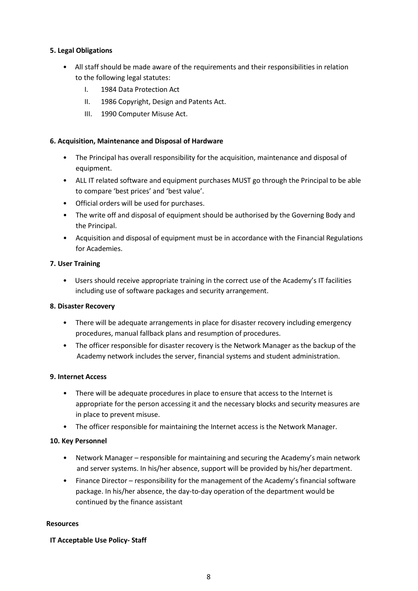#### **5. Legal Obligations**

- All staff should be made aware of the requirements and their responsibilities in relation to the following legal statutes:
	- I. 1984 Data Protection Act
	- II. 1986 Copyright, Design and Patents Act.
	- III. 1990 Computer Misuse Act.

#### **6. Acquisition, Maintenance and Disposal of Hardware**

- The Principal has overall responsibility for the acquisition, maintenance and disposal of equipment.
- ALL IT related software and equipment purchases MUST go through the Principal to be able to compare 'best prices' and 'best value'.
- Official orders will be used for purchases.
- The write off and disposal of equipment should be authorised by the Governing Body and the Principal.
- Acquisition and disposal of equipment must be in accordance with the Financial Regulations for Academies.

#### **7. User Training**

• Users should receive appropriate training in the correct use of the Academy's IT facilities including use of software packages and security arrangement.

#### **8. Disaster Recovery**

- There will be adequate arrangements in place for disaster recovery including emergency procedures, manual fallback plans and resumption of procedures.
- The officer responsible for disaster recovery is the Network Manager as the backup of the Academy network includes the server, financial systems and student administration.

#### **9. Internet Access**

- There will be adequate procedures in place to ensure that access to the Internet is appropriate for the person accessing it and the necessary blocks and security measures are in place to prevent misuse.
- The officer responsible for maintaining the Internet access is the Network Manager.

#### **10. Key Personnel**

- Network Manager responsible for maintaining and securing the Academy's main network and server systems. In his/her absence, support will be provided by his/her department.
- Finance Director responsibility for the management of the Academy's financial software package. In his/her absence, the day-to-day operation of the department would be continued by the finance assistant

#### <span id="page-7-0"></span>**Resources**

#### **IT Acceptable Use Policy- Staff**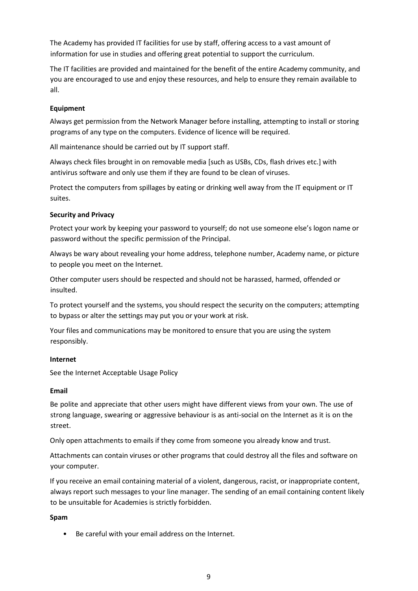The Academy has provided IT facilities for use by staff, offering access to a vast amount of information for use in studies and offering great potential to support the curriculum.

The IT facilities are provided and maintained for the benefit of the entire Academy community, and you are encouraged to use and enjoy these resources, and help to ensure they remain available to all.

#### **Equipment**

Always get permission from the Network Manager before installing, attempting to install or storing programs of any type on the computers. Evidence of licence will be required.

All maintenance should be carried out by IT support staff.

Always check files brought in on removable media [such as USBs, CDs, flash drives etc.] with antivirus software and only use them if they are found to be clean of viruses.

Protect the computers from spillages by eating or drinking well away from the IT equipment or IT suites.

#### **Security and Privacy**

Protect your work by keeping your password to yourself; do not use someone else's logon name or password without the specific permission of the Principal.

Always be wary about revealing your home address, telephone number, Academy name, or picture to people you meet on the Internet.

Other computer users should be respected and should not be harassed, harmed, offended or insulted.

To protect yourself and the systems, you should respect the security on the computers; attempting to bypass or alter the settings may put you or your work at risk.

Your files and communications may be monitored to ensure that you are using the system responsibly.

#### **Internet**

See the Internet Acceptable Usage Policy

#### **Email**

Be polite and appreciate that other users might have different views from your own. The use of strong language, swearing or aggressive behaviour is as anti-social on the Internet as it is on the street.

Only open attachments to emails if they come from someone you already know and trust.

Attachments can contain viruses or other programs that could destroy all the files and software on your computer.

If you receive an email containing material of a violent, dangerous, racist, or inappropriate content, always report such messages to your line manager. The sending of an email containing content likely to be unsuitable for Academies is strictly forbidden.

#### **Spam**

• Be careful with your email address on the Internet.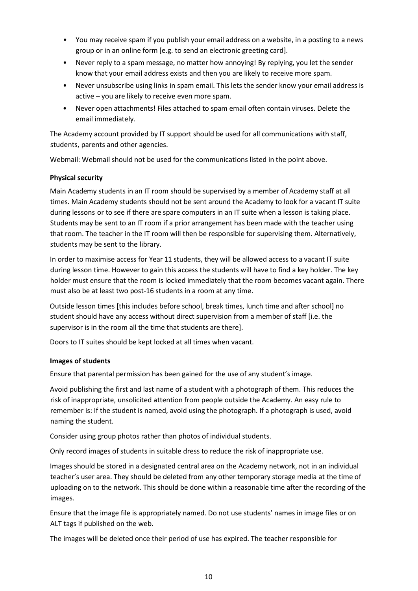- You may receive spam if you publish your email address on a website, in a posting to a news group or in an online form [e.g. to send an electronic greeting card].
- Never reply to a spam message, no matter how annoying! By replying, you let the sender know that your email address exists and then you are likely to receive more spam.
- Never unsubscribe using links in spam email. This lets the sender know your email address is active – you are likely to receive even more spam.
- Never open attachments! Files attached to spam email often contain viruses. Delete the email immediately.

The Academy account provided by IT support should be used for all communications with staff, students, parents and other agencies.

Webmail: Webmail should not be used for the communications listed in the point above.

#### **Physical security**

Main Academy students in an IT room should be supervised by a member of Academy staff at all times. Main Academy students should not be sent around the Academy to look for a vacant IT suite during lessons or to see if there are spare computers in an IT suite when a lesson is taking place. Students may be sent to an IT room if a prior arrangement has been made with the teacher using that room. The teacher in the IT room will then be responsible for supervising them. Alternatively, students may be sent to the library.

In order to maximise access for Year 11 students, they will be allowed access to a vacant IT suite during lesson time. However to gain this access the students will have to find a key holder. The key holder must ensure that the room is locked immediately that the room becomes vacant again. There must also be at least two post-16 students in a room at any time.

Outside lesson times [this includes before school, break times, lunch time and after school] no student should have any access without direct supervision from a member of staff [i.e. the supervisor is in the room all the time that students are there].

Doors to IT suites should be kept locked at all times when vacant.

#### **Images of students**

Ensure that parental permission has been gained for the use of any student's image.

Avoid publishing the first and last name of a student with a photograph of them. This reduces the risk of inappropriate, unsolicited attention from people outside the Academy. An easy rule to remember is: If the student is named, avoid using the photograph. If a photograph is used, avoid naming the student.

Consider using group photos rather than photos of individual students.

Only record images of students in suitable dress to reduce the risk of inappropriate use.

Images should be stored in a designated central area on the Academy network, not in an individual teacher's user area. They should be deleted from any other temporary storage media at the time of uploading on to the network. This should be done within a reasonable time after the recording of the images.

Ensure that the image file is appropriately named. Do not use students' names in image files or on ALT tags if published on the web.

The images will be deleted once their period of use has expired. The teacher responsible for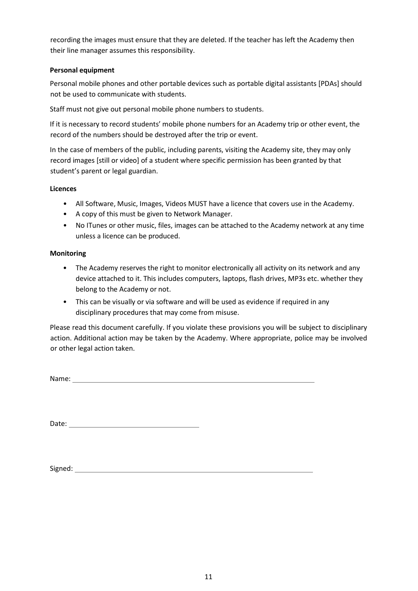recording the images must ensure that they are deleted. If the teacher has left the Academy then their line manager assumes this responsibility.

#### **Personal equipment**

Personal mobile phones and other portable devices such as portable digital assistants [PDAs] should not be used to communicate with students.

Staff must not give out personal mobile phone numbers to students.

If it is necessary to record students' mobile phone numbers for an Academy trip or other event, the record of the numbers should be destroyed after the trip or event.

In the case of members of the public, including parents, visiting the Academy site, they may only record images [still or video] of a student where specific permission has been granted by that student's parent or legal guardian.

#### **Licences**

- All Software, Music, Images, Videos MUST have a licence that covers use in the Academy.
- A copy of this must be given to Network Manager.
- No ITunes or other music, files, images can be attached to the Academy network at any time unless a licence can be produced.

#### **Monitoring**

- The Academy reserves the right to monitor electronically all activity on its network and any device attached to it. This includes computers, laptops, flash drives, MP3s etc. whether they belong to the Academy or not.
- This can be visually or via software and will be used as evidence if required in any disciplinary procedures that may come from misuse.

Please read this document carefully. If you violate these provisions you will be subject to disciplinary action. Additional action may be taken by the Academy. Where appropriate, police may be involved or other legal action taken.

Name: Name: Name: Name: Name: Name: Name: Name: Name: Name: Name: Name: Name: Name: Name: Name: Name: Name: Name: Name: Name: Name: Name: Name: Name: Name: Name: Name: Name: Name: Name: Name: Name: Name: Name: Name: Name:

Date:

Signed: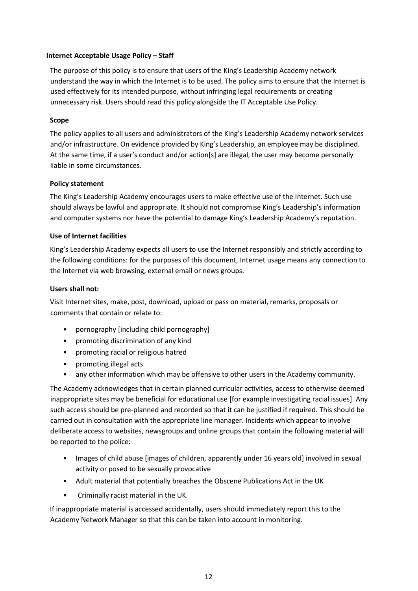#### <span id="page-11-0"></span>**Internet Acceptable Usage Policy – Staff**

The purpose of this policy is to ensure that users of the King's Leadership Academy network understand the way in which the Internet is to be used. The policy aims to ensure that the Internet is used effectively for its intended purpose, without infringing legal requirements or creating unnecessary risk. Users should read this policy alongside the IT Acceptable Use Policy.

#### **Scope**

The policy applies to all users and administrators of the King's Leadership Academy network services and/or infrastructure. On evidence provided by King's Leadership, an employee may be disciplined. At the same time, if a user's conduct and/or action[s] are illegal, the user may become personally liable in some circumstances.

#### **Policy statement**

The King's Leadership Academy encourages users to make effective use of the Internet. Such use should always be lawful and appropriate. It should not compromise King's Leadership's information and computer systems nor have the potential to damage King's Leadership Academy's reputation.

#### **Use of Internet facilities**

King's Leadership Academy expects all users to use the Internet responsibly and strictly according to the following conditions: for the purposes of this document, Internet usage means any connection to the Internet via web browsing, external email or news groups.

#### **Users shall not:**

Visit Internet sites, make, post, download, upload or pass on material, remarks, proposals or comments that contain or relate to:

- pornography [including child pornography]
- promoting discrimination of any kind
- promoting racial or religious hatred
- promoting illegal acts
- any other information which may be offensive to other users in the Academy community.

The Academy acknowledges that in certain planned curricular activities, access to otherwise deemed inappropriate sites may be beneficial for educational use [for example investigating racial issues]. Any such access should be pre-planned and recorded so that it can be justified if required. This should be carried out in consultation with the appropriate line manager. Incidents which appear to involve deliberate access to websites, newsgroups and online groups that contain the following material will be reported to the police:

- Images of child abuse [images of children, apparently under 16 years old] involved in sexual activity or posed to be sexually provocative
- Adult material that potentially breaches the Obscene Publications Act in the UK
- Criminally racist material in the UK.

If inappropriate material is accessed accidentally, users should immediately report this to the Academy Network Manager so that this can be taken into account in monitoring.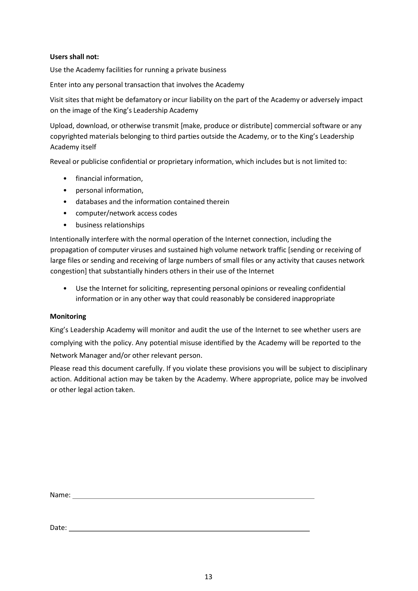#### **Users shall not:**

Use the Academy facilities for running a private business

Enter into any personal transaction that involves the Academy

Visit sites that might be defamatory or incur liability on the part of the Academy or adversely impact on the image of the King's Leadership Academy

Upload, download, or otherwise transmit [make, produce or distribute] commercial software or any copyrighted materials belonging to third parties outside the Academy, or to the King's Leadership Academy itself

Reveal or publicise confidential or proprietary information, which includes but is not limited to:

- financial information,
- personal information,
- databases and the information contained therein
- computer/network access codes
- business relationships

Intentionally interfere with the normal operation of the Internet connection, including the propagation of computer viruses and sustained high volume network traffic [sending or receiving of large files or sending and receiving of large numbers of small files or any activity that causes network congestion] that substantially hinders others in their use of the Internet

• Use the Internet for soliciting, representing personal opinions or revealing confidential information or in any other way that could reasonably be considered inappropriate

#### **Monitoring**

King's Leadership Academy will monitor and audit the use of the Internet to see whether users are complying with the policy. Any potential misuse identified by the Academy will be reported to the Network Manager and/or other relevant person.

Please read this document carefully. If you violate these provisions you will be subject to disciplinary action. Additional action may be taken by the Academy. Where appropriate, police may be involved or other legal action taken.

Name:

Date: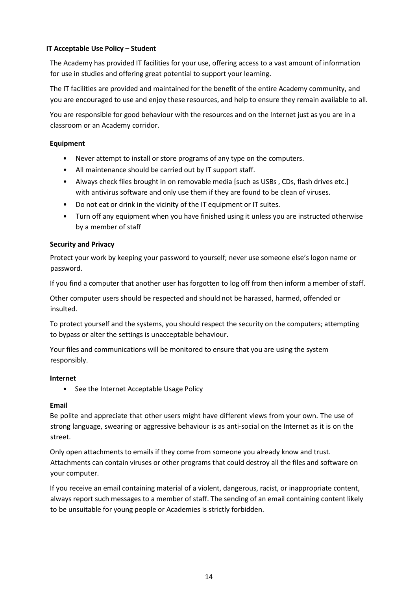#### <span id="page-13-0"></span>**IT Acceptable Use Policy – Student**

The Academy has provided IT facilities for your use, offering access to a vast amount of information for use in studies and offering great potential to support your learning.

The IT facilities are provided and maintained for the benefit of the entire Academy community, and you are encouraged to use and enjoy these resources, and help to ensure they remain available to all.

You are responsible for good behaviour with the resources and on the Internet just as you are in a classroom or an Academy corridor.

#### **Equipment**

- Never attempt to install or store programs of any type on the computers.
- All maintenance should be carried out by IT support staff.
- Always check files brought in on removable media [such as USBs , CDs, flash drives etc.] with antivirus software and only use them if they are found to be clean of viruses.
- Do not eat or drink in the vicinity of the IT equipment or IT suites.
- Turn off any equipment when you have finished using it unless you are instructed otherwise by a member of staff

#### **Security and Privacy**

Protect your work by keeping your password to yourself; never use someone else's logon name or password.

If you find a computer that another user has forgotten to log off from then inform a member of staff.

Other computer users should be respected and should not be harassed, harmed, offended or insulted.

To protect yourself and the systems, you should respect the security on the computers; attempting to bypass or alter the settings is unacceptable behaviour.

Your files and communications will be monitored to ensure that you are using the system responsibly.

#### **Internet**

• See the Internet Acceptable Usage Policy

#### **Email**

Be polite and appreciate that other users might have different views from your own. The use of strong language, swearing or aggressive behaviour is as anti-social on the Internet as it is on the street.

Only open attachments to emails if they come from someone you already know and trust. Attachments can contain viruses or other programs that could destroy all the files and software on your computer.

If you receive an email containing material of a violent, dangerous, racist, or inappropriate content, always report such messages to a member of staff. The sending of an email containing content likely to be unsuitable for young people or Academies is strictly forbidden.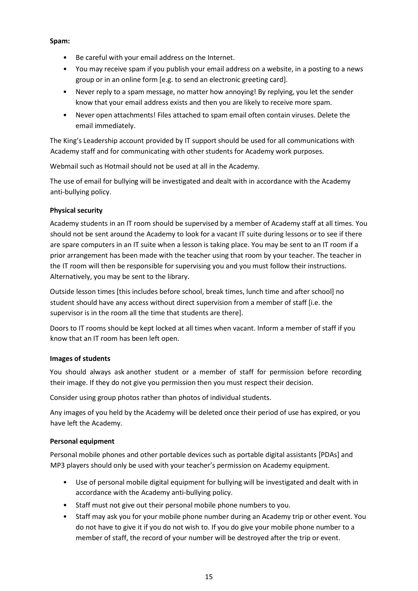#### **Spam:**

- Be careful with your email address on the Internet.
- You may receive spam if you publish your email address on a website, in a posting to a news group or in an online form [e.g. to send an electronic greeting card].
- Never reply to a spam message, no matter how annoying! By replying, you let the sender know that your email address exists and then you are likely to receive more spam.
- Never open attachments! Files attached to spam email often contain viruses. Delete the email immediately.

The King's Leadership account provided by IT support should be used for all communications with Academy staff and for communicating with other students for Academy work purposes.

Webmail such as Hotmail should not be used at all in the Academy.

The use of email for bullying will be investigated and dealt with in accordance with the Academy anti-bullying policy.

#### **Physical security**

Academy students in an IT room should be supervised by a member of Academy staff at all times. You should not be sent around the Academy to look for a vacant IT suite during lessons or to see if there are spare computers in an IT suite when a lesson is taking place. You may be sent to an IT room if a prior arrangement has been made with the teacher using that room by your teacher. The teacher in the IT room will then be responsible for supervising you and you must follow their instructions. Alternatively, you may be sent to the library.

Outside lesson times [this includes before school, break times, lunch time and after school] no student should have any access without direct supervision from a member of staff [i.e. the supervisor is in the room all the time that students are there].

Doors to IT rooms should be kept locked at all times when vacant. Inform a member of staff if you know that an IT room has been left open.

#### **Images of students**

You should always ask another student or a member of staff for permission before recording their image. If they do not give you permission then you must respect their decision.

Consider using group photos rather than photos of individual students.

Any images of you held by the Academy will be deleted once their period of use has expired, or you have left the Academy.

#### **Personal equipment**

Personal mobile phones and other portable devices such as portable digital assistants [PDAs] and MP3 players should only be used with your teacher's permission on Academy equipment.

- Use of personal mobile digital equipment for bullying will be investigated and dealt with in accordance with the Academy anti-bullying policy.
- Staff must not give out their personal mobile phone numbers to you.
- Staff may ask you for your mobile phone number during an Academy trip or other event. You do not have to give it if you do not wish to. If you do give your mobile phone number to a member of staff, the record of your number will be destroyed after the trip or event.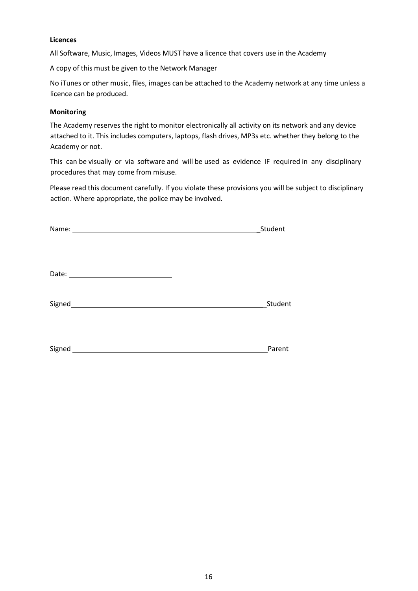#### **Licences**

All Software, Music, Images, Videos MUST have a licence that covers use in the Academy

A copy of this must be given to the Network Manager

No iTunes or other music, files, images can be attached to the Academy network at any time unless a licence can be produced.

#### **Monitoring**

The Academy reserves the right to monitor electronically all activity on its network and any device attached to it. This includes computers, laptops, flash drives, MP3s etc. whether they belong to the Academy or not.

This can be visually or via software and will be used as evidence IF required in any disciplinary procedures that may come from misuse.

Please read this document carefully. If you violate these provisions you will be subject to disciplinary action. Where appropriate, the police may be involved.

|        | Student |
|--------|---------|
|        |         |
|        |         |
|        |         |
|        |         |
|        |         |
|        | Student |
|        |         |
|        |         |
|        |         |
| Signed | Parent  |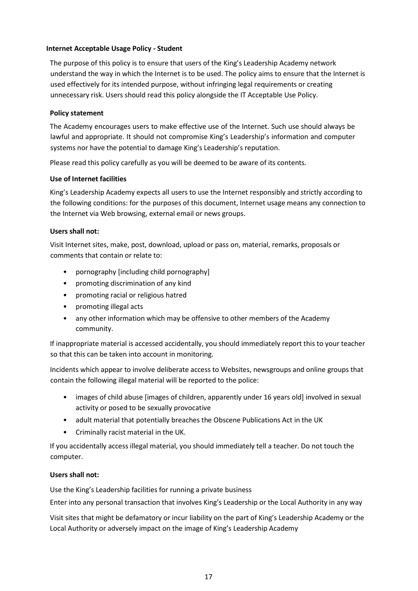#### <span id="page-16-0"></span>**Internet Acceptable Usage Policy - Student**

The purpose of this policy is to ensure that users of the King's Leadership Academy network understand the way in which the Internet is to be used. The policy aims to ensure that the Internet is used effectively for its intended purpose, without infringing legal requirements or creating unnecessary risk. Users should read this policy alongside the IT Acceptable Use Policy.

#### **Policy statement**

The Academy encourages users to make effective use of the Internet. Such use should always be lawful and appropriate. It should not compromise King's Leadership's information and computer systems nor have the potential to damage King's Leadership's reputation.

Please read this policy carefully as you will be deemed to be aware of its contents.

#### **Use of Internet facilities**

King's Leadership Academy expects all users to use the Internet responsibly and strictly according to the following conditions: for the purposes of this document, Internet usage means any connection to the Internet via Web browsing, external email or news groups.

#### **Users shall not:**

Visit Internet sites, make, post, download, upload or pass on, material, remarks, proposals or comments that contain or relate to:

- pornography [including child pornography]
- promoting discrimination of any kind
- promoting racial or religious hatred
- promoting illegal acts
- any other information which may be offensive to other members of the Academy community.

If inappropriate material is accessed accidentally, you should immediately report this to your teacher so that this can be taken into account in monitoring.

Incidents which appear to involve deliberate access to Websites, newsgroups and online groups that contain the following illegal material will be reported to the police:

- images of child abuse [images of children, apparently under 16 years old] involved in sexual activity or posed to be sexually provocative
- adult material that potentially breaches the Obscene Publications Act in the UK
- Criminally racist material in the UK.

If you accidentally access illegal material, you should immediately tell a teacher. Do not touch the computer.

#### **Users shall not:**

Use the King's Leadership facilities for running a private business

Enter into any personal transaction that involves King's Leadership or the Local Authority in any way

Visit sites that might be defamatory or incur liability on the part of King's Leadership Academy or the Local Authority or adversely impact on the image of King's Leadership Academy